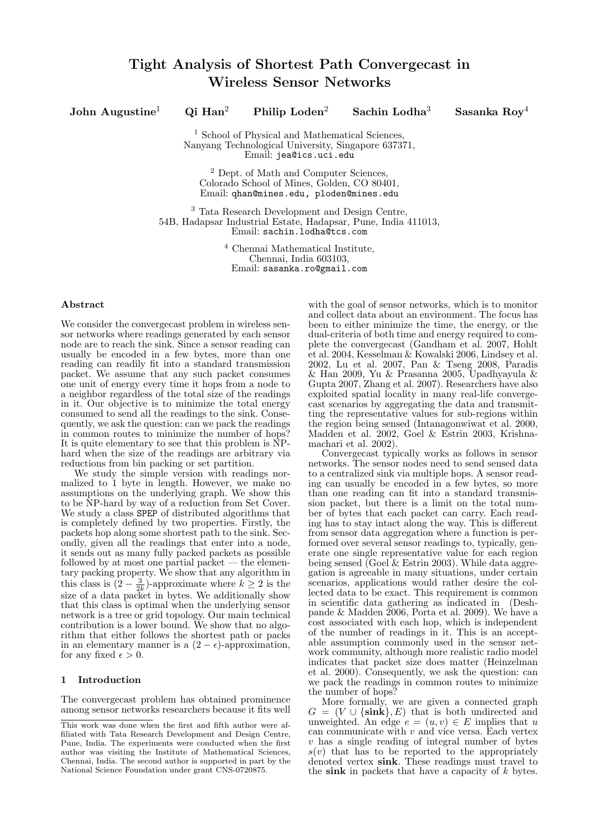# John Augustine<sup>1</sup> Qi Han<sup>2</sup> Philip Loden<sup>2</sup> Sachin Lodha<sup>3</sup> Sasanka Roy<sup>4</sup>

<sup>1</sup> School of Physical and Mathematical Sciences Nanyang Technological University, Singapore 637371, Email: jea@ics.uci.edu

<sup>2</sup> Dept. of Math and Computer Sciences, Colorado School of Mines, Golden, CO 80401, Email: qhan@mines.edu, ploden@mines.edu

<sup>3</sup> Tata Research Development and Design Centre, 54B, Hadapsar Industrial Estate, Hadapsar, Pune, India 411013, Email: sachin.lodha@tcs.com

> <sup>4</sup> Chennai Mathematical Institute, Chennai, India 603103, Email: sasanka.ro@gmail.com

# Abstract

We consider the convergecast problem in wireless sensor networks where readings generated by each sensor node are to reach the sink. Since a sensor reading can usually be encoded in a few bytes, more than one reading can readily fit into a standard transmission packet. We assume that any such packet consumes one unit of energy every time it hops from a node to a neighbor regardless of the total size of the readings in it. Our objective is to minimize the total energy consumed to send all the readings to the sink. Consequently, we ask the question: can we pack the readings in common routes to minimize the number of hops? It is quite elementary to see that this problem is NPhard when the size of the readings are arbitrary via reductions from bin packing or set partition.

We study the simple version with readings normalized to 1 byte in length. However, we make no assumptions on the underlying graph. We show this to be NP-hard by way of a reduction from Set Cover. We study a class SPEP of distributed algorithms that is completely defined by two properties. Firstly, the packets hop along some shortest path to the sink. Secondly, given all the readings that enter into a node, it sends out as many fully packed packets as possible followed by at most one partial packet — the elementary packing property. We show that any algorithm in this class is  $(2 - \frac{3}{2k})$ -approximate where  $k \ge 2$  is the size of a data packet in bytes. We additionally show that this class is optimal when the underlying sensor network is a tree or grid topology. Our main technical contribution is a lower bound. We show that no algorithm that either follows the shortest path or packs in an elementary manner is a  $(2 - \epsilon)$ -approximation, for any fixed  $\epsilon > 0$ .

### 1 Introduction

The convergecast problem has obtained prominence among sensor networks researchers because it fits well

with the goal of sensor networks, which is to monitor and collect data about an environment. The focus has been to either minimize the time, the energy, or the dual-criteria of both time and energy required to complete the convergecast (Gandham et al. 2007, Hohlt et al. 2004, Kesselman & Kowalski 2006, Lindsey et al. 2002, Lu et al. 2007, Pan & Tseng 2008, Paradis & Han 2009, Yu & Prasanna 2005, Upadhyayula & Gupta 2007, Zhang et al. 2007). Researchers have also exploited spatial locality in many real-life convergecast scenarios by aggregating the data and transmitting the representative values for sub-regions within the region being sensed (Intanagonwiwat et al. 2000, Madden et al. 2002, Goel & Estrin 2003, Krishnamachari et al. 2002).

Convergecast typically works as follows in sensor networks. The sensor nodes need to send sensed data to a centralized sink via multiple hops. A sensor reading can usually be encoded in a few bytes, so more than one reading can fit into a standard transmission packet, but there is a limit on the total number of bytes that each packet can carry. Each reading has to stay intact along the way. This is different from sensor data aggregation where a function is performed over several sensor readings to, typically, generate one single representative value for each region being sensed (Goel & Estrin 2003). While data aggregation is agreeable in many situations, under certain scenarios, applications would rather desire the collected data to be exact. This requirement is common in scientific data gathering as indicated in (Deshpande & Madden 2006, Porta et al. 2009). We have a cost associated with each hop, which is independent of the number of readings in it. This is an acceptable assumption commonly used in the sensor network community, although more realistic radio model indicates that packet size does matter (Heinzelman et al. 2000). Consequently, we ask the question: can we pack the readings in common routes to minimize the number of hops?

More formally, we are given a connected graph  $G = (V \cup \{\text{sink}\}, E)$  that is both undirected and unweighted. An edge  $e = (u, v) \in E$  implies that u can communicate with  $v$  and vice versa. Each vertex  $v$  has a single reading of integral number of bytes  $s(v)$  that has to be reported to the appropriately denoted vertex sink. These readings must travel to the sink in packets that have a capacity of  $k$  bytes.

This work was done when the first and fifth author were affiliated with Tata Research Development and Design Centre, Pune, India. The experiments were conducted when the first author was visiting the Institute of Mathematical Sciences, Chennai, India. The second author is supported in part by the National Science Foundation under grant CNS-0720875.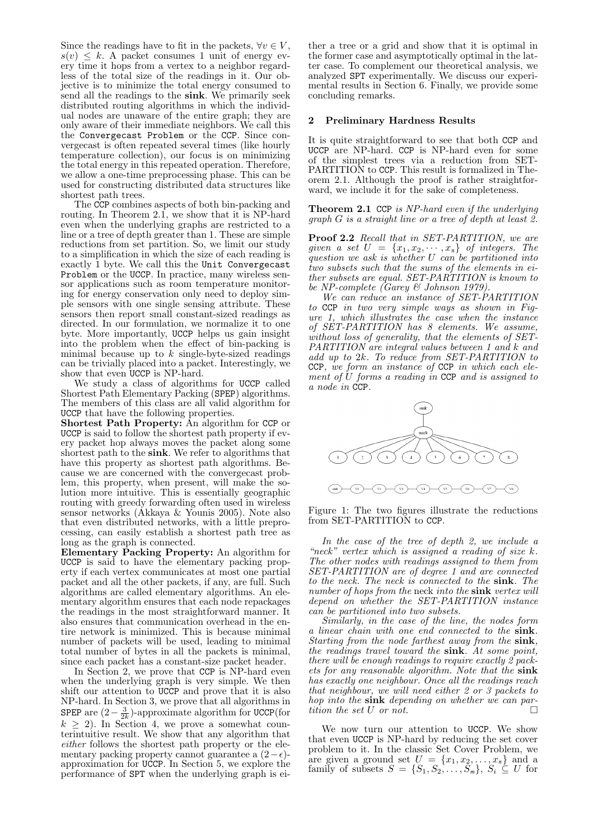Since the readings have to fit in the packets,  $\forall v \in V$ ,  $s(v) \leq k$ . A packet consumes 1 unit of energy every time it hops from a vertex to a neighbor regardless of the total size of the readings in it. Our objective is to minimize the total energy consumed to send all the readings to the sink. We primarily seek distributed routing algorithms in which the individual nodes are unaware of the entire graph; they are only aware of their immediate neighbors. We call this the Convergecast Problem or the CCP. Since convergecast is often repeated several times (like hourly temperature collection), our focus is on minimizing the total energy in this repeated operation. Therefore, we allow a one-time preprocessing phase. This can be used for constructing distributed data structures like shortest path trees.

The CCP combines aspects of both bin-packing and routing. In Theorem 2.1, we show that it is NP-hard even when the underlying graphs are restricted to a line or a tree of depth greater than 1. These are simple reductions from set partition. So, we limit our study to a simplification in which the size of each reading is exactly 1 byte. We call this the Unit Convergecast Problem or the UCCP. In practice, many wireless sensor applications such as room temperature monitoring for energy conservation only need to deploy simple sensors with one single sensing attribute. These sensors then report small constant-sized readings as directed. In our formulation, we normalize it to one byte. More importantly, UCCP helps us gain insight into the problem when the effect of bin-packing is minimal because up to  $k$  single-byte-sized readings can be trivially placed into a packet. Interestingly, we show that even UCCP is NP-hard.

We study a class of algorithms for UCCP called Shortest Path Elementary Packing (SPEP) algorithms. The members of this class are all valid algorithm for UCCP that have the following properties.

Shortest Path Property: An algorithm for CCP or UCCP is said to follow the shortest path property if every packet hop always moves the packet along some shortest path to the sink. We refer to algorithms that have this property as shortest path algorithms. Because we are concerned with the convergecast problem, this property, when present, will make the solution more intuitive. This is essentially geographic routing with greedy forwarding often used in wireless sensor networks (Akkaya & Younis 2005). Note also that even distributed networks, with a little preprocessing, can easily establish a shortest path tree as long as the graph is connected.

Elementary Packing Property: An algorithm for UCCP is said to have the elementary packing property if each vertex communicates at most one partial packet and all the other packets, if any, are full. Such algorithms are called elementary algorithms. An elementary algorithm ensures that each node repackages the readings in the most straightforward manner. It also ensures that communication overhead in the entire network is minimized. This is because minimal number of packets will be used, leading to minimal total number of bytes in all the packets is minimal, since each packet has a constant-size packet header.

In Section 2, we prove that CCP is NP-hard even when the underlying graph is very simple. We then shift our attention to UCCP and prove that it is also NP-hard. In Section 3, we prove that all algorithms in SPEP are  $(2-\frac{3}{2k})$ -approximate algorithm for UCCP(for  $k \geq 2$ ). In Section 4, we prove a somewhat counterintuitive result. We show that any algorithm that either follows the shortest path property or the elementary packing property cannot guarantee a  $(2-\epsilon)$ approximation for UCCP. In Section 5, we explore the performance of SPT when the underlying graph is ei-

ther a tree or a grid and show that it is optimal in the former case and asymptotically optimal in the latter case. To complement our theoretical analysis, we analyzed SPT experimentally. We discuss our experimental results in Section 6. Finally, we provide some concluding remarks.

### 2 Preliminary Hardness Results

It is quite straightforward to see that both CCP and UCCP are NP-hard. CCP is NP-hard even for some of the simplest trees via a reduction from SET-PARTITION to CCP. This result is formalized in Theorem 2.1. Although the proof is rather straightforward, we include it for the sake of completeness.

Theorem 2.1 CCP is NP-hard even if the underlying graph G is a straight line or a tree of depth at least 2.

Proof 2.2 Recall that in SET-PARTITION, we are given a set  $U = \{x_1, x_2, \dots, x_n\}$  of integers. The question we ask is whether  $U$  can be partitioned into two subsets such that the sums of the elements in either subsets are equal. SET-PARTITION is known to be NP-complete (Garey & Johnson 1979).

We can reduce an instance of SET-PARTITION to CCP in two very simple ways as shown in Figure 1, which illustrates the case when the instance of SET-PARTITION has 8 elements. We assume, without loss of generality, that the elements of SET-PARTITION are integral values between 1 and k and add up to 2k. To reduce from SET-PARTITION to CCP, we form an instance of CCP in which each element of  $\dot{U}$  forms a reading in CCP and is assigned to a node in CCP.



Figure 1: The two figures illustrate the reductions from SET-PARTITION to CCP.

In the case of the tree of depth 2, we include a "neck" vertex which is assigned a reading of size  $k$ . The other nodes with readings assigned to them from SET-PARTITION are of degree 1 and are connected to the neck. The neck is connected to the sink. The number of hops from the neck into the sink vertex will depend on whether the SET-PARTITION instance can be partitioned into two subsets.

Similarly, in the case of the line, the nodes form a linear chain with one end connected to the sink. Starting from the node farthest away from the sink, the readings travel toward the sink. At some point, there will be enough readings to require exactly 2 packets for any reasonable algorithm. Note that the sink has exactly one neighbour. Once all the readings reach that neighbour, we will need either 2 or 3 packets to hop into the sink depending on whether we can partition the set U or not.

We now turn our attention to UCCP. We show that even UCCP is NP-hard by reducing the set cover problem to it. In the classic Set Cover Problem, we are given a ground set  $U = \{x_1, x_2, \ldots, x_n\}$  and a family of subsets  $S = \{S_1, S_2, \ldots, S_m\}, S_i \subseteq U$  for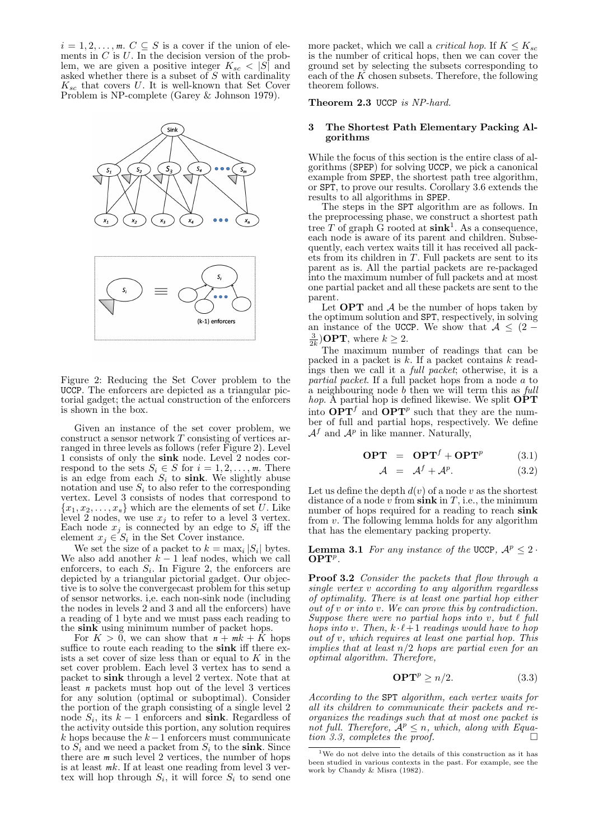$i = 1, 2, \ldots, m$ .  $C \subseteq S$  is a cover if the union of elements in  $C$  is  $U$ . In the decision version of the problem, we are given a positive integer  $K_{sc} < |S|$  and asked whether there is a subset of  $S$  with cardinality  $K_{sc}$  that covers U. It is well-known that Set Cover Problem is NP-complete (Garey & Johnson 1979).



Figure 2: Reducing the Set Cover problem to the UCCP. The enforcers are depicted as a triangular pictorial gadget; the actual construction of the enforcers is shown in the box.

Given an instance of the set cover problem, we construct a sensor network T consisting of vertices arranged in three levels as follows (refer Figure 2). Level 1 consists of only the sink node. Level 2 nodes correspond to the sets  $S_i \in S$  for  $i = 1, 2, \ldots, m$ . There is an edge from each  $S_i$  to sink. We slightly abuse notation and use  $S_i$  to also refer to the corresponding vertex. Level 3 consists of nodes that correspond to  ${x_1, x_2, \ldots, x_n}$  which are the elements of set U. Like level 2 nodes, we use  $x_i$  to refer to a level 3 vertex. Each node  $x_j$  is connected by an edge to  $S_i$  iff the element  $x_j \in S_i$  in the Set Cover instance.

We set the size of a packet to  $k = \max_i |S_i|$  bytes. We also add another  $k - 1$  leaf nodes, which we call enforcers, to each  $S_i$ . In Figure 2, the enforcers are depicted by a triangular pictorial gadget. Our objective is to solve the convergecast problem for this setup of sensor networks. i,e. each non-sink node (including the nodes in levels 2 and 3 and all the enforcers) have a reading of 1 byte and we must pass each reading to the sink using minimum number of packet hops.

For  $K > 0$ , we can show that  $n + mk + \overline{K}$  hops suffice to route each reading to the sink iff there exists a set cover of size less than or equal to  $K$  in the set cover problem. Each level 3 vertex has to send a packet to sink through a level 2 vertex. Note that at least *n* packets must hop out of the level 3 vertices for any solution (optimal or suboptimal). Consider the portion of the graph consisting of a single level 2 node  $S_i$ , its  $k-1$  enforcers and **sink**. Regardless of the activity outside this portion, any solution requires k hops because the  $k-1$  enforcers must communicate to  $S_i$  and we need a packet from  $S_i$  to the sink. Since there are *m* such level 2 vertices, the number of hops is at least *m*k. If at least one reading from level 3 vertex will hop through  $S_i$ , it will force  $S_i$  to send one

more packet, which we call a *critical hop*. If  $K \leq K_{sc}$ is the number of critical hops, then we can cover the ground set by selecting the subsets corresponding to each of the  $\overrightarrow{K}$  chosen subsets. Therefore, the following theorem follows.

Theorem 2.3 UCCP is NP-hard.

#### The Shortest Path Elementary Packing Algorithms

While the focus of this section is the entire class of algorithms (SPEP) for solving UCCP, we pick a canonical example from SPEP, the shortest path tree algorithm, or SPT, to prove our results. Corollary 3.6 extends the results to all algorithms in SPEP.

The steps in the SPT algorithm are as follows. In the preprocessing phase, we construct a shortest path tree  $T$  of graph G rooted at  $\textbf{sink}^1$ . As a consequence, each node is aware of its parent and children. Subsequently, each vertex waits till it has received all packets from its children in  $T$ . Full packets are sent to its parent as is. All the partial packets are re-packaged into the maximum number of full packets and at most one partial packet and all these packets are sent to the parent.

Let  $OPT$  and  $A$  be the number of hops taken by the optimum solution and SPT, respectively, in solving an instance of the UCCP. We show that  $A \leq (2 \frac{3}{2k}$ )**OPT**, where  $k \geq 2$ .

The maximum number of readings that can be packed in a packet is  $k$ . If a packet contains  $k$  readings then we call it a full packet; otherwise, it is a partial packet. If a full packet hops from a node a to a neighbouring node  $b$  then we will term this as  $full$ *hop.* A partial hop is defined likewise. We split  $\overrightarrow{OPT}$ into  $\mathbf{OPT}^f$  and  $\mathbf{OPT}^p$  such that they are the number of full and partial hops, respectively. We define  $\mathcal{A}^f$  and  $\mathcal{A}^p$  in like manner. Naturally,

$$
OPT = OPT^{f} + OPT^{p} \qquad (3.1)
$$

$$
\mathcal{A} = \mathcal{A}^f + \mathcal{A}^p. \tag{3.2}
$$

Let us define the depth  $d(v)$  of a node v as the shortest distance of a node v from  $\sin k$  in T, i.e., the minimum number of hops required for a reading to reach sink from  $v$ . The following lemma holds for any algorithm that has the elementary packing property.

**Lemma 3.1** For any instance of the UCCP,  $A^p \leq 2$ .  $\overline{\bf OPT}^p$ .

**Proof 3.2** Consider the packets that flow through a single vertex v according to any algorithm regardless of optimality. There is at least one partial hop either out of v or into v. We can prove this by contradiction. Suppose there were no partial hops into  $v$ , but  $\ell$  full hops into v. Then,  $k \cdot \ell + 1$  readings would have to hop out of v, which requires at least one partial hop. This implies that at least  $n/2$  hops are partial even for an optimal algorithm. Therefore,

$$
\mathbf{OPT}^p \ge n/2. \tag{3.3}
$$

According to the SPT algorithm, each vertex waits for all its children to communicate their packets and reorganizes the readings such that at most one packet is not full. Therefore,  $A^p \leq n$ , which, along with Equation 3.3, completes the proof.  $\Box$ 

 $1$ We do not delve into the details of this construction as it has been studied in various contexts in the past. For example, see the work by Chandy & Misra (1982).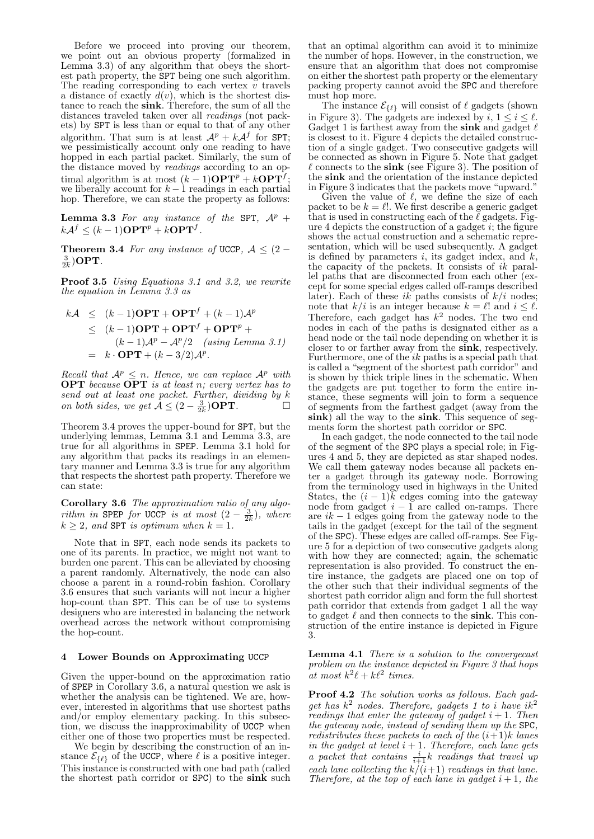Before we proceed into proving our theorem, we point out an obvious property (formalized in Lemma 3.3) of any algorithm that obeys the shortest path property, the SPT being one such algorithm. The reading corresponding to each vertex  $v$  travels a distance of exactly  $d(v)$ , which is the shortest distance to reach the sink. Therefore, the sum of all the distances traveled taken over all readings (not packets) by SPT is less than or equal to that of any other algorithm. That sum is at least  $\mathcal{A}^p + k\mathcal{A}^f$  for SPT; we pessimistically account only one reading to have hopped in each partial packet. Similarly, the sum of the distance moved by readings according to an optimal algorithm is at most  $(k-1)\mathbf{OPT}^p + k\mathbf{OPT}^f;$ we liberally account for  $k - 1$  readings in each partial hop. Therefore, we can state the property as follows:

**Lemma 3.3** For any instance of the SPT,  $A^p$  +  $k\mathcal{A}^f \leq (k-1)\mathbf{OPT}^p + k\mathbf{OPT}^f.$ 

Theorem 3.4 For any instance of UCCP,  $A \leq (2 \frac{3}{2k})\textbf{OPT}.$ 

Proof 3.5 Using Equations 3.1 and 3.2, we rewrite the equation in Lemma 3.3 as

$$
kA \leq (k-1)\mathbf{OPT} + \mathbf{OPT}^f + (k-1)\mathcal{A}^p
$$
  
\n
$$
\leq (k-1)\mathbf{OPT} + \mathbf{OPT}^f + \mathbf{OPT}^p + (k-1)\mathcal{A}^p - \mathcal{A}^p/2 \quad \text{(using Lemma 3.1)}
$$
  
\n
$$
= k \cdot \mathbf{OPT} + (k-3/2)\mathcal{A}^p.
$$

Recall that  $A^p \leq n$ . Hence, we can replace  $A^p$  with **OPT** because **OPT** is at least n; every vertex has to send out at least one packet. Further, dividing by k on both sides, we get  $\bar{A}$  ≤  $(2 - \frac{3}{2k})$ **OPT**.  $\Box$ 

Theorem 3.4 proves the upper-bound for SPT, but the underlying lemmas, Lemma 3.1 and Lemma 3.3, are true for all algorithms in SPEP. Lemma 3.1 hold for any algorithm that packs its readings in an elementary manner and Lemma 3.3 is true for any algorithm that respects the shortest path property. Therefore we can state:

**Corollary 3.6** The approximation ratio of any algorithm in SPEP for UCCP is at most  $(2 - \frac{3}{2k})$ , where  $k \geq 2$ , and SPT is optimum when  $k = 1$ .

Note that in SPT, each node sends its packets to one of its parents. In practice, we might not want to burden one parent. This can be alleviated by choosing a parent randomly. Alternatively, the node can also choose a parent in a round-robin fashion. Corollary 3.6 ensures that such variants will not incur a higher hop-count than SPT. This can be of use to systems designers who are interested in balancing the network overhead across the network without compromising the hop-count.

## 4 Lower Bounds on Approximating UCCP

Given the upper-bound on the approximation ratio of SPEP in Corollary 3.6, a natural question we ask is whether the analysis can be tightened. We are, however, interested in algorithms that use shortest paths and/or employ elementary packing. In this subsection, we discuss the inapproximability of UCCP when either one of those two properties must be respected.

We begin by describing the construction of an instance  $\mathcal{E}_{\{\ell\}}$  of the UCCP, where  $\ell$  is a positive integer. This instance is constructed with one bad path (called the shortest path corridor or SPC) to the sink such

that an optimal algorithm can avoid it to minimize the number of hops. However, in the construction, we ensure that an algorithm that does not compromise on either the shortest path property or the elementary packing property cannot avoid the SPC and therefore must hop more.

The instance  $\mathcal{E}_{\{\ell\}}$  will consist of  $\ell$  gadgets (shown in Figure 3). The gadgets are indexed by  $i, 1 \leq i \leq \ell$ . Gadget 1 is farthest away from the sink and gadget  $\ell$ is closest to it. Figure 4 depicts the detailed construction of a single gadget. Two consecutive gadgets will be connected as shown in Figure 5. Note that gadget  $\ell$  connects to the sink (see Figure 3). The position of the sink and the orientation of the instance depicted in Figure 3 indicates that the packets move "upward."

Given the value of  $\ell$ , we define the size of each packet to be  $k = \ell!$ . We first describe a generic gadget that is used in constructing each of the  $\ell$  gadgets. Figure 4 depicts the construction of a gadget  $i$ ; the figure shows the actual construction and a schematic representation, which will be used subsequently. A gadget is defined by parameters  $i$ , its gadget index, and  $k$ , the capacity of the packets. It consists of  $ik$  parallel paths that are disconnected from each other (except for some special edges called off-ramps described later). Each of these ik paths consists of  $k/i$  nodes; note that  $k/i$  is an integer because  $k = \ell!$  and  $i \leq \ell$ . Therefore, each gadget has  $k^2$  nodes. The two end nodes in each of the paths is designated either as a head node or the tail node depending on whether it is closer to or farther away from the sink, respectively. Furthermore, one of the  $ik$  paths is a special path that is called a "segment of the shortest path corridor" and is shown by thick triple lines in the schematic. When the gadgets are put together to form the entire instance, these segments will join to form a sequence of segments from the farthest gadget (away from the sink) all the way to the sink. This sequence of segments form the shortest path corridor or SPC.

In each gadget, the node connected to the tail node of the segment of the SPC plays a special role; in Figures 4 and 5, they are depicted as star shaped nodes. We call them gateway nodes because all packets enter a gadget through its gateway node. Borrowing from the terminology used in highways in the United States, the  $(i - 1)\tilde{k}$  edges coming into the gateway node from gadget  $i - 1$  are called on-ramps. There are  $ik - 1$  edges going from the gateway node to the tails in the gadget (except for the tail of the segment of the SPC). These edges are called off-ramps. See Figure 5 for a depiction of two consecutive gadgets along with how they are connected; again, the schematic representation is also provided. To construct the entire instance, the gadgets are placed one on top of the other such that their individual segments of the shortest path corridor align and form the full shortest path corridor that extends from gadget 1 all the way to gadget  $\ell$  and then connects to the sink. This construction of the entire instance is depicted in Figure 3.

Lemma 4.1 There is a solution to the convergecast problem on the instance depicted in Figure 3 that hops at most  $k^2\ell + k\ell^2$  times.

Proof 4.2 The solution works as follows. Each gadget has  $k^2$  nodes. Therefore, gadgets 1 to i have  $ik^2$ readings that enter the gateway of gadget  $i + 1$ . Then the gateway node, instead of sending them up the SPC, redistributes these packets to each of the  $(i+1)k$  lanes in the gadget at level  $i + 1$ . Therefore, each lane gets a packet that contains  $\frac{i}{i+1}k$  readings that travel up each lane collecting the  $k/(i+1)$  readings in that lane. Therefore, at the top of each lane in gadget  $i+1$ , the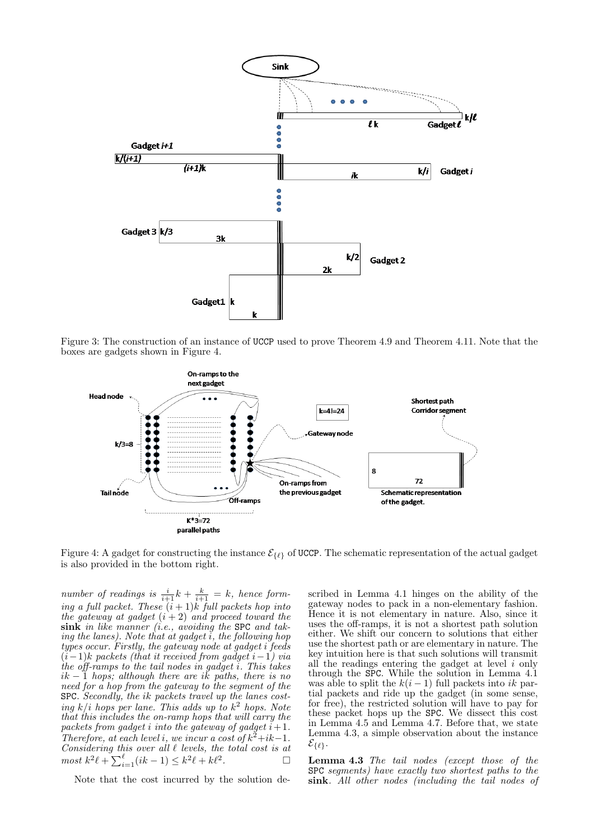

Figure 3: The construction of an instance of UCCP used to prove Theorem 4.9 and Theorem 4.11. Note that the boxes are gadgets shown in Figure 4.



Figure 4: A gadget for constructing the instance  $\mathcal{E}_{\{\ell\}}$  of UCCP. The schematic representation of the actual gadget is also provided in the bottom right.

number of readings is  $\frac{i}{i+1}k + \frac{k}{i+1} = k$ , hence forming a full packet. These  $(i + 1)k$  full packets hop into the gateway at gadget  $(i + 2)$  and proceed toward the  $\sin k$  in like manner (i.e., avoiding the SPC and taking the lanes). Note that at gadget  $\overline{i}$ , the following hop types occur. Firstly, the gateway node at gadget i feeds  $(i-1)$ k packets (that it received from gadget i -1) via the off-ramps to the tail nodes in gadget i. This takes  $ik-1$  hops; although there are ik paths, there is no need for a hop from the gateway to the segment of the SPC. Secondly, the ik packets travel up the lanes costing  $k/i$  hops per lane. This adds up to  $k^2$  hops. Note that this includes the on-ramp hops that will carry the packets from gadget i into the gateway of gadget  $i+1$ . Therefore, at each level i, we incur a cost of  $k^2 + ik - 1$ . Considering this over all  $\ell$  levels, the total cost is at  $\text{most } k^2 \ell + \sum_{i=1}^{\ell} (ik-1) \leq k^2 \ell + k\ell^2.$ 

Note that the cost incurred by the solution de-

scribed in Lemma 4.1 hinges on the ability of the gateway nodes to pack in a non-elementary fashion. Hence it is not elementary in nature. Also, since it uses the off-ramps, it is not a shortest path solution either. We shift our concern to solutions that either use the shortest path or are elementary in nature. The key intuition here is that such solutions will transmit all the readings entering the gadget at level  $i$  only through the SPC. While the solution in Lemma 4.1 was able to split the  $k(i-1)$  full packets into ik partial packets and ride up the gadget (in some sense, for free), the restricted solution will have to pay for these packet hops up the SPC. We dissect this cost in Lemma 4.5 and Lemma 4.7. Before that, we state Lemma 4.3, a simple observation about the instance  $\mathcal{E}_{\{\ell\}}.$ 

Lemma 4.3 The tail nodes (except those of the SPC segments) have exactly two shortest paths to the sink. All other nodes (including the tail nodes of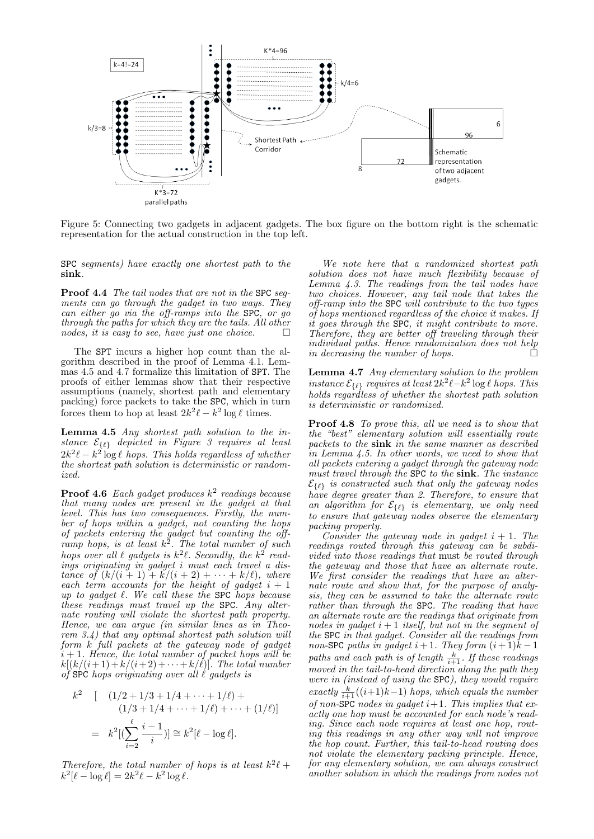

Figure 5: Connecting two gadgets in adjacent gadgets. The box figure on the bottom right is the schematic representation for the actual construction in the top left.

SPC segments) have exactly one shortest path to the sink.

Proof 4.4 The tail nodes that are not in the SPC segments can go through the gadget in two ways. They can either go via the off-ramps into the SPC, or go through the paths for which they are the tails. All other nodes, it is easy to see, have just one choice.  $\Box$ 

The SPT incurs a higher hop count than the algorithm described in the proof of Lemma 4.1. Lemmas 4.5 and 4.7 formalize this limitation of SPT. The proofs of either lemmas show that their respective assumptions (namely, shortest path and elementary packing) force packets to take the SPC, which in turn forces them to hop at least  $2k^2\ell - k^2 \log \ell$  times.

Lemma 4.5 Any shortest path solution to the instance  $\mathcal{E}_{\{\ell\}}$  depicted in Figure 3 requires at least  $2k^2\ell - k^2 \log \ell$  hops. This holds regardless of whether the shortest path solution is deterministic or randomized.

**Proof 4.6** Each gadget produces  $k^2$  readings because that many nodes are present in the gadget at that level. This has two consequences. Firstly, the number of hops within a gadget, not counting the hops of packets entering the gadget but counting the offramp hops, is at least  $k^2$ . The total number of such hops over all  $\ell$  gadgets is  $k^2 \ell$ . Secondly, the  $k^2$  readings originating in gadget i must each travel a distance of  $(k/(i + 1) + k/(i + 2) + \cdots + k/\ell)$ , where each term accounts for the height of gadget  $i + 1$ up to gadget  $\ell$ . We call these the SPC hops because these readings must travel up the SPC. Any alternate routing will violate the shortest path property. Hence, we can argue (in similar lines as in Theorem  $3.4$ ) that any optimal shortest path solution will form k full packets at the gateway node of gadget  $i + 1$ . Hence, the total number of packet hops will be  $k[(k/(i+1)+k/(i+2)+\cdots+k/\ell)]$ . The total number of  $SPC$  hops originating over all  $\ell$  gadgets is

$$
k^{2} \quad [ \quad (1/2 + 1/3 + 1/4 + \dots + 1/\ell) +
$$

$$
(1/3 + 1/4 + \dots + 1/\ell) + \dots + (1/\ell)]
$$

$$
= k^{2} [(\sum_{i=2}^{\ell} \frac{i-1}{i})] \cong k^{2} [\ell - \log \ell].
$$

Therefore, the total number of hops is at least  $k^2\ell$  +  $k^2[\ell - \log \ell] = 2k^2\ell - k^2\log \ell.$ 

We note here that a randomized shortest path solution does not have much flexibility because of Lemma 4.3. The readings from the tail nodes have two choices. However, any tail node that takes the off-ramp into the SPC will contribute to the two types of hops mentioned regardless of the choice it makes. If it goes through the SPC, it might contribute to more. Therefore, they are better off traveling through their individual paths. Hence randomization does not help in decreasing the number of hops.

Lemma 4.7 Any elementary solution to the problem instance  $\mathcal{E}_{\{\ell\}}$  requires at least  $2k^2\ell - k^2 \log \ell$  hops. This holds regardless of whether the shortest path solution is deterministic or randomized.

Proof 4.8 To prove this, all we need is to show that the "best" elementary solution will essentially route packets to the sink in the same manner as described in Lemma 4.5. In other words, we need to show that all packets entering a gadget through the gateway node must travel through the SPC to the sink. The instance  $\mathcal{E}_{\{\ell\}}$  is constructed such that only the gateway nodes have degree greater than 2. Therefore, to ensure that an algorithm for  $\mathcal{E}_{\{\ell\}}$  is elementary, we only need to ensure that gateway nodes observe the elementary packing property.

Consider the gateway node in gadget  $i + 1$ . The readings routed through this gateway can be subdivided into those readings that must be routed through the gateway and those that have an alternate route. We first consider the readings that have an alternate route and show that, for the purpose of analysis, they can be assumed to take the alternate route rather than through the SPC. The reading that have an alternate route are the readings that originate from nodes in gadget  $i+1$  itself, but not in the segment of the SPC in that gadget. Consider all the readings from non-SPC paths in gadget  $i+1$ . They form  $(i+1)k-1$ paths and each path is of length  $\frac{k}{i+1}$ . If these readings moved in the tail-to-head direction along the path they were in (instead of using the SPC), they would require exactly  $\frac{k}{i+1}((i+1)k-1)$  hops, which equals the number of non-SPC nodes in gadget  $i+1$ . This implies that exactly one hop must be accounted for each node's reading. Since each node requires at least one hop, routing this readings in any other way will not improve the hop count. Further, this tail-to-head routing does not violate the elementary packing principle. Hence, for any elementary solution, we can always construct another solution in which the readings from nodes not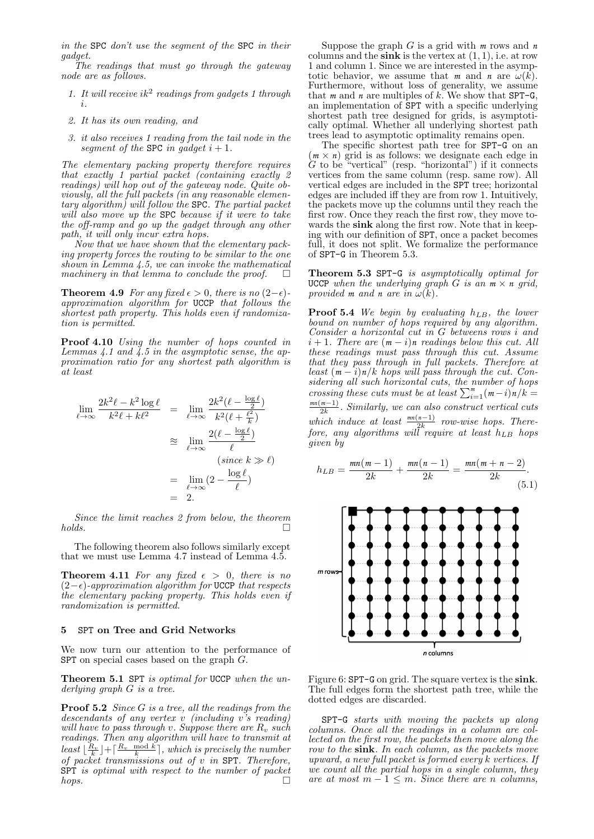in the SPC don't use the segment of the SPC in their gadget.

The readings that must go through the gateway node are as follows.

- 1. It will receive  $ik^2$  readings from gadgets 1 through i.
- 2. It has its own reading, and
- 3. it also receives 1 reading from the tail node in the segment of the SPC in gadget  $i + 1$ .

The elementary packing property therefore requires that exactly 1 partial packet (containing exactly 2 readings) will hop out of the gateway node. Quite obviously, all the full packets (in any reasonable elementary algorithm) will follow the SPC. The partial packet will also move up the SPC because if it were to take the off-ramp and go up the gadget through any other path, it will only incur extra hops.

Now that we have shown that the elementary packing property forces the routing to be similar to the one shown in Lemma 4.5, we can invoke the mathematical machinery in that lemma to conclude the proof.  $\Box$ 

Theorem 4.9 For any fixed  $\epsilon > 0$ , there is no  $(2-\epsilon)$ approximation algorithm for UCCP that follows the shortest path property. This holds even if randomization is permitted.

Proof 4.10 Using the number of hops counted in Lemmas  $4.1$  and  $4.5$  in the asymptotic sense, the approximation ratio for any shortest path algorithm is at least

$$
\lim_{\ell \to \infty} \frac{2k^2 \ell - k^2 \log \ell}{k^2 \ell + k\ell^2} = \lim_{\ell \to \infty} \frac{2k^2 (\ell - \frac{\log \ell}{2})}{k^2 (\ell + \frac{\ell^2}{k})}
$$
\n
$$
\approx \lim_{\ell \to \infty} \frac{2(\ell - \frac{\log \ell}{2})}{\ell}
$$
\n
$$
= \lim_{\ell \to \infty} (2 - \frac{\log \ell}{\ell})
$$
\n
$$
= 2.
$$

Since the limit reaches 2 from below, the theorem holds.  $\square$ 

The following theorem also follows similarly except that we must use Lemma 4.7 instead of Lemma 4.5.

**Theorem 4.11** For any fixed  $\epsilon > 0$ , there is no  $(2-\epsilon)$ -approximation algorithm for UCCP that respects the elementary packing property. This holds even if randomization is permitted.

## 5 SPT on Tree and Grid Networks

We now turn our attention to the performance of SPT on special cases based on the graph G.

Theorem 5.1 SPT is optimal for UCCP when the underlying graph G is a tree.

**Proof 5.2** Since G is a tree, all the readings from the descendants of any vertex v (including v's reading) will have to pass through v. Suppose there are  $R_v$  such readings. Then any algorithm will have to transmit at least  $\lfloor \frac{R_v}{k} \rfloor + \lceil \frac{R_v \mod k}{k} \rceil$ , which is precisely the number of packet transmissions out of v in SPT. Therefore, SPT is optimal with respect to the number of packet hops.

Suppose the graph  $G$  is a grid with  $m$  rows and  $n$ columns and the sink is the vertex at  $(1, 1)$ , i.e. at row 1 and column 1. Since we are interested in the asymptotic behavior, we assume that *m* and *n* are  $\omega(\vec{k})$ . Furthermore, without loss of generality, we assume that  $m$  and  $n$  are multiples of  $k$ . We show that SPT-G, an implementation of SPT with a specific underlying shortest path tree designed for grids, is asymptotically optimal. Whether all underlying shortest path trees lead to asymptotic optimality remains open.

The specific shortest path tree for SPT-G on an  $(m \times n)$  grid is as follows: we designate each edge in  $G$  to be "vertical" (resp. "horizontal") if it connects vertices from the same column (resp. same row). All vertical edges are included in the SPT tree; horizontal edges are included iff they are from row 1. Intuitively, the packets move up the columns until they reach the first row. Once they reach the first row, they move towards the sink along the first row. Note that in keeping with our definition of SPT, once a packet becomes full, it does not split. We formalize the performance of SPT-G in Theorem 5.3.

Theorem 5.3 SPT-G is asymptotically optimal for UCCP when the underlying graph  $G$  is an  $m \times n$  grid, provided *m* and *n* are in  $\omega(k)$ .

**Proof 5.4** We begin by evaluating  $h_{LB}$ , the lower bound on number of hops required by any algorithm. Consider a horizontal cut in G betweens rows i and  $i + 1$ . There are  $(m - i)n$  readings below this cut. All these readings must pass through this cut. Assume that they pass through in full packets. Therefore at least  $(m - i)n/k$  hops will pass through the cut. Considering all such horizontal cuts, the number of hops crossing these cuts must be at least  $\sum_{i=1}^{m} (m-i)n/k =$  $\frac{mn(m-1)}{2k}$ . Similarly, we can also construct vertical cuts which induce at least  $\frac{mn(n-1)}{2k}$  row-wise hops. There- $\emph{fore, any algorithms will require at least } h_{LB} ~\emph{hops}$ given by

$$
h_{LB} = \frac{mn(m-1)}{2k} + \frac{mn(n-1)}{2k} = \frac{mn(m+n-2)}{2k}.
$$
\n(5.1)



Figure 6: SPT-G on grid. The square vertex is the sink. The full edges form the shortest path tree, while the dotted edges are discarded.

SPT-G starts with moving the packets up along columns. Once all the readings in a column are collected on the first row, the packets then move along the row to the sink. In each column, as the packets move upward, a new full packet is formed every k vertices. If we count all the partial hops in a single column, they are at most  $m - 1 \leq m$ . Since there are n columns,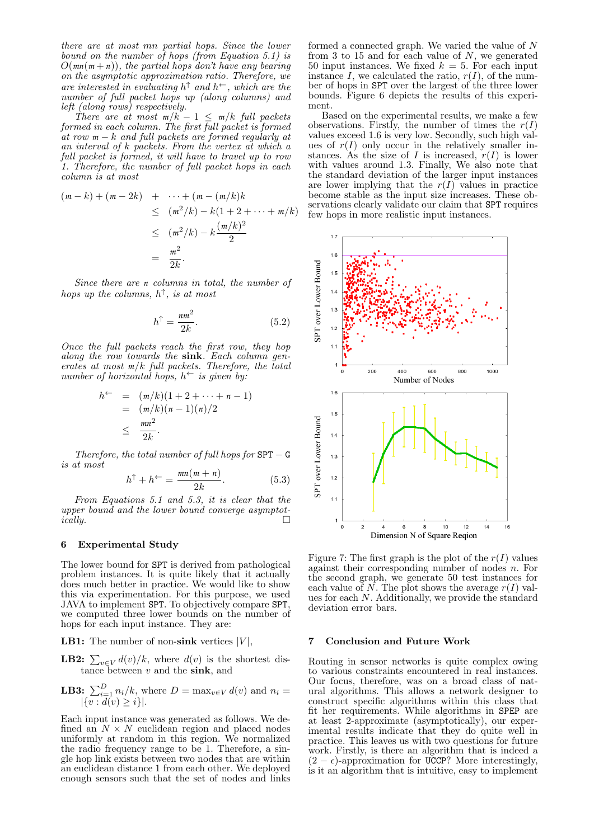there are at most mn partial hops. Since the lower bound on the number of hops (from Equation 5.1) is  $O(mn(m+n))$ , the partial hops don't have any bearing on the asymptotic approximation ratio. Therefore, we are interested in evaluating  $h^{\uparrow}$  and  $h^{\leftarrow}$ , which are the number of full packet hops up (along columns) and left (along rows) respectively.

There are at most  $m/k - 1 \le m/k$  full packets formed in each column. The first full packet is formed at row  $m - k$  and full packets are formed regularly at an interval of k packets. From the vertex at which a full packet is formed, it will have to travel up to row 1. Therefore, the number of full packet hops in each column is at most

$$
(m-k) + (m-2k) + \cdots + (m - (m/k)k
$$
  
\n
$$
\leq (m^2/k) - k(1 + 2 + \cdots + m/k)
$$
  
\n
$$
\leq (m^2/k) - k\frac{(m/k)^2}{2}
$$
  
\n
$$
= \frac{m^2}{2k}.
$$

Since there are *n* columns in total, the number of hops up the columns,  $h^{\uparrow}$ , is at most

$$
h^{\uparrow} = \frac{n m^2}{2k}.
$$
 (5.2)

Once the full packets reach the first row, they hop along the row towards the sink. Each column generates at most  $m/k$  full packets. Therefore, the total number of horizontal hops,  $h^{\leftarrow}$  is given by:

$$
h^{\leftarrow} = (m/k)(1 + 2 + \dots + n - 1)
$$
  
=  $(m/k)(n - 1)(n)/2$   
 $\leq \frac{mn^2}{2k}.$ 

Therefore, the total number of full hops for  $SPT - G$ is at most

$$
h^{\uparrow} + h^{\leftarrow} = \frac{mn(m+n)}{2k}.
$$
 (5.3)

From Equations 5.1 and 5.3, it is clear that the upper bound and the lower bound converge asymptot-<br>cally.

#### 6 Experimental Study

The lower bound for SPT is derived from pathological problem instances. It is quite likely that it actually does much better in practice. We would like to show this via experimentation. For this purpose, we used JAVA to implement SPT. To objectively compare SPT, we computed three lower bounds on the number of hops for each input instance. They are:

**LB1:** The number of non-sink vertices  $|V|$ ,

**LB2:**  $\sum_{v \in V} d(v)/k$ , where  $d(v)$  is the shortest distance between  $v$  and the sink, and

**LB3:** 
$$
\sum_{i=1}^{D} n_i/k
$$
, where  $D = \max_{v \in V} d(v)$  and  $n_i = |\{v : d(v) \geq i\}|$ .

Each input instance was generated as follows. We defined an  $N \times N$  euclidean region and placed nodes uniformly at random in this region. We normalized the radio frequency range to be 1. Therefore, a single hop link exists between two nodes that are within an euclidean distance 1 from each other. We deployed enough sensors such that the set of nodes and links

formed a connected graph. We varied the value of N from 3 to 15 and for each value of  $N$ , we generated 50 input instances. We fixed  $k = 5$ . For each input instance I, we calculated the ratio,  $r(I)$ , of the number of hops in SPT over the largest of the three lower bounds. Figure 6 depicts the results of this experiment.

Based on the experimental results, we make a few observations. Firstly, the number of times the  $r(I)$ values exceed 1.6 is very low. Secondly, such high values of  $r(I)$  only occur in the relatively smaller instances. As the size of I is increased,  $r(I)$  is lower with values around 1.3. Finally, We also note that the standard deviation of the larger input instances are lower implying that the  $r(I)$  values in practice become stable as the input size increases. These observations clearly validate our claim that **SPT** requires few hops in more realistic input instances.



Figure 7: The first graph is the plot of the  $r(I)$  values against their corresponding number of nodes  $n$ . For the second graph, we generate 50 test instances for each value of  $N$ . The plot shows the average  $r(I)$  values for each N. Additionally, we provide the standard deviation error bars.

#### 7 Conclusion and Future Work

Routing in sensor networks is quite complex owing to various constraints encountered in real instances. Our focus, therefore, was on a broad class of natural algorithms. This allows a network designer to construct specific algorithms within this class that fit her requirements. While algorithms in SPEP are at least 2-approximate (asymptotically), our experimental results indicate that they do quite well in practice. This leaves us with two questions for future work. Firstly, is there an algorithm that is indeed a  $(2 - \epsilon)$ -approximation for UCCP? More interestingly, is it an algorithm that is intuitive, easy to implement